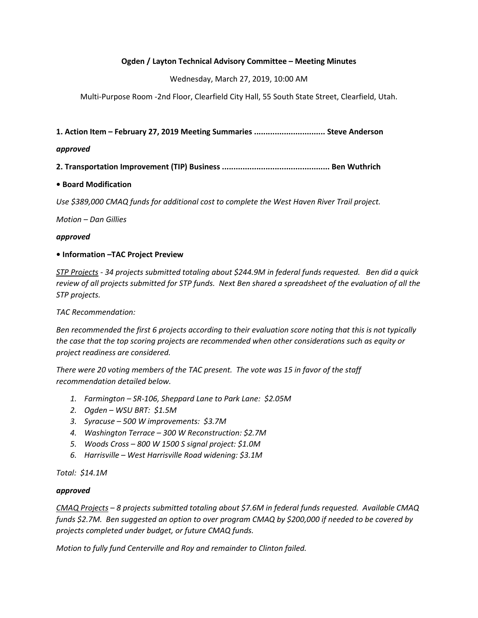## Ogden / Layton Technical Advisory Committee – Meeting Minutes

Wednesday, March 27, 2019, 10:00 AM

Multi-Purpose Room -2nd Floor, Clearfield City Hall, 55 South State Street, Clearfield, Utah.

1. Action Item – February 27, 2019 Meeting Summaries ............................... Steve Anderson

### approved

2. Transportation Improvement (TIP) Business ............................................... Ben Wuthrich

## • Board Modification

Use \$389,000 CMAQ funds for additional cost to complete the West Haven River Trail project.

Motion – Dan Gillies

#### approved

#### • Information –TAC Project Preview

STP Projects - 34 projects submitted totaling about \$244.9M in federal funds requested. Ben did a quick review of all projects submitted for STP funds. Next Ben shared a spreadsheet of the evaluation of all the STP projects.

TAC Recommendation:

Ben recommended the first 6 projects according to their evaluation score noting that this is not typically the case that the top scoring projects are recommended when other considerations such as equity or project readiness are considered.

There were 20 voting members of the TAC present. The vote was 15 in favor of the staff recommendation detailed below.

- 1. Farmington SR-106, Sheppard Lane to Park Lane: \$2.05M
- 2. Ogden WSU BRT: \$1.5M
- 3. Syracuse 500 W improvements: \$3.7M
- 4. Washington Terrace 300 W Reconstruction: \$2.7M
- 5. Woods Cross 800 W 1500 S signal project: \$1.0M
- 6. Harrisville West Harrisville Road widening: \$3.1M

#### Total: \$14.1M

#### approved

CMAQ Projects – 8 projects submitted totaling about \$7.6M in federal funds requested. Available CMAQ funds \$2.7M. Ben suggested an option to over program CMAQ by \$200,000 if needed to be covered by projects completed under budget, or future CMAQ funds.

Motion to fully fund Centerville and Roy and remainder to Clinton failed.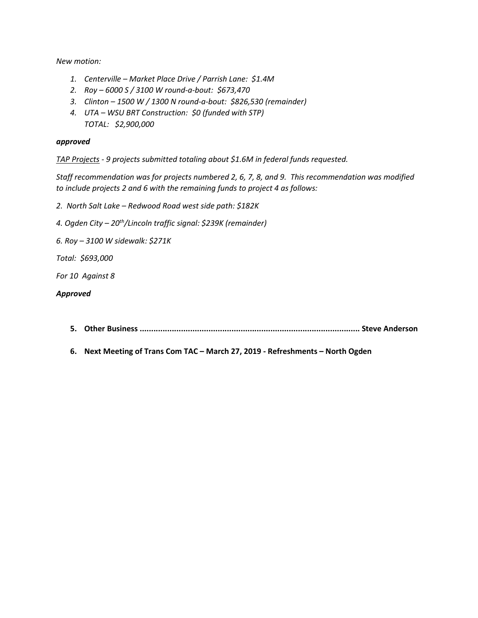New motion:

- 1. Centerville Market Place Drive / Parrish Lane: \$1.4M
- 2. Roy 6000 S / 3100 W round-a-bout: \$673,470
- 3. Clinton 1500 W / 1300 N round-a-bout: \$826,530 (remainder)
- 4. UTA WSU BRT Construction: \$0 (funded with STP) TOTAL: \$2,900,000

#### approved

TAP Projects - 9 projects submitted totaling about \$1.6M in federal funds requested.

Staff recommendation was for projects numbered 2, 6, 7, 8, and 9. This recommendation was modified to include projects 2 and 6 with the remaining funds to project 4 as follows:

- 2. North Salt Lake Redwood Road west side path: \$182K
- 4. Ogden City 20<sup>th</sup>/Lincoln traffic signal: \$239K (remainder)
- 6. Roy 3100 W sidewalk: \$271K
- Total: \$693,000

For 10 Against 8

#### Approved

- 5. Other Business ................................................................................................ Steve Anderson
- 6. Next Meeting of Trans Com TAC March 27, 2019 Refreshments North Ogden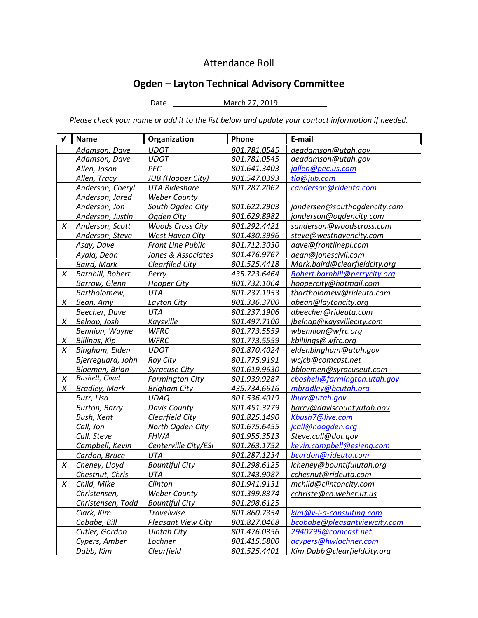## Attendance Roll

# Ogden – Layton Technical Advisory Committee

Date March 27, 2019 \_\_

Please check your name or add it to the list below and update your contact information if needed.

| $\boldsymbol{v}$ | <b>Name</b>             | Organization              | Phone        | E-mail                        |
|------------------|-------------------------|---------------------------|--------------|-------------------------------|
|                  | Adamson, Dave           | <b>UDOT</b>               | 801.781.0545 | deadamson@utah.gov            |
|                  | Adamson, Dave           | <b>UDOT</b>               | 801.781.0545 | deadamson@utah.gov            |
|                  | Allen, Jason            | PEC                       | 801.641.3403 | jallen@pec.us.com             |
|                  | Allen, Tracy            | <b>JUB</b> (Hooper City)  | 801.547.0393 | tla@jub.com                   |
|                  | Anderson, Cheryl        | <b>UTA Rideshare</b>      | 801.287.2062 | canderson@rideuta.com         |
|                  | Anderson, Jared         | <b>Weber County</b>       |              |                               |
|                  | Anderson, Jon           | South Ogden City          | 801.622.2903 | jandersen@southogdencity.com  |
|                  | Anderson, Justin        | Ogden City                | 801.629.8982 | janderson@ogdencity.com       |
| X                | Anderson, Scott         | <b>Woods Cross City</b>   | 801.292.4421 | sanderson@woodscross.com      |
|                  | Anderson, Steve         | West Haven City           | 801.430.3996 | steve@westhavencity.com       |
|                  | Asay, Dave              | <b>Front Line Public</b>  | 801.712.3030 | dave@frontlinepi.com          |
|                  | Ayala, Dean             | Jones & Associates        | 801.476.9767 | dean@jonescivil.com           |
|                  | <b>Baird, Mark</b>      | <b>Clearfiled City</b>    | 801.525.4418 | Mark.baird@clearfieldcity.org |
| X                | <b>Barnhill, Robert</b> | Perry                     | 435.723.6464 | Robert.barnhill@perrycity.org |
|                  | <b>Barrow, Glenn</b>    | <b>Hooper City</b>        | 801.732.1064 | hoopercity@hotmail.com        |
|                  | Bartholomew,            | UTA                       | 801.237.1953 | tbartholomew@rideuta.com      |
| X                | Bean, Amy               | Layton City               | 801.336.3700 | abean@laytoncity.org          |
|                  | Beecher, Dave           | <b>UTA</b>                | 801.237.1906 | dbeecher@rideuta.com          |
| X                | Belnap, Josh            | Kaysville                 | 801.497.7100 | jbelnap@kaysvillecity.com     |
|                  | Bennion, Wayne          | <b>WFRC</b>               | 801.773.5559 | wbennion@wfrc.org             |
| X                | Billings, Kip           | <b>WFRC</b>               | 801.773.5559 | kbillings@wfrc.org            |
| X                | Bingham, Elden          | <b>UDOT</b>               | 801.870.4024 | eldenbingham@utah.gov         |
|                  | Bjerreguard, John       | Roy City                  | 801.775.9191 | wcjcb@comcast.net             |
|                  | Bloemen, Brian          | <b>Syracuse City</b>      | 801.619.9630 | bbloemen@syracuseut.com       |
| X                | Boshell, Chad           | <b>Farmington City</b>    | 801.939.9287 | cboshell@farmington.utah.gov  |
| X                | <b>Bradley, Mark</b>    | <b>Brigham City</b>       | 435.734.6616 | mbradley@bcutah.org           |
|                  | Burr, Lisa              | <b>UDAQ</b>               | 801.536.4019 | lburr@utah.gov                |
|                  | <b>Burton, Barry</b>    | <b>Davis County</b>       | 801.451.3279 | barry@daviscountyutah.gov     |
|                  | <b>Bush, Kent</b>       | Clearfield City           | 801.825.1490 | Kbush7@live.com               |
|                  | Call, Jon               | North Ogden City          | 801.675.6455 | jcall@noogden.org             |
|                  | Call, Steve             | <b>FHWA</b>               | 801.955.3513 | Steve.call@dot.gov            |
|                  | Campbell, Kevin         | Centerville City/ESI      | 801.263.1752 | kevin.campbell@esieng.com     |
|                  | Cardon, Bruce           | UTA                       | 801.287.1234 | bcardon@rideuta.com           |
| X                | Cheney, Lloyd           | <b>Bountiful City</b>     | 801.298.6125 | lcheney@bountifulutah.org     |
|                  | Chestnut, Chris         | UTA                       | 801.243.9087 | cchesnut@rideuta.com          |
| $\overline{X}$   | Child, Mike             | <b>Clinton</b>            | 801.941.9131 | mchild@clintoncity.com        |
|                  | Christensen,            | <b>Weber County</b>       | 801.399.8374 | cchriste@co.weber.ut.us       |
|                  | Christensen, Todd       | <b>Bountiful City</b>     | 801.298.6125 |                               |
|                  | Clark, Kim              | <b>Travelwise</b>         | 801.860.7354 | kim@v-i-a-consulting.com      |
|                  | Cobabe, Bill            | <b>Pleasant View City</b> | 801.827.0468 | bcobabe@pleasantviewcity.com  |
|                  | Cutler, Gordon          | <b>Uintah City</b>        | 801.476.0356 | 2940799@comcast.net           |
|                  | Cypers, Amber           | Lochner                   | 801.415.5800 | acypers@hwlochner.com         |
|                  | Dabb, Kim               | Clearfield                | 801.525.4401 | Kim.Dabb@clearfieldcity.org   |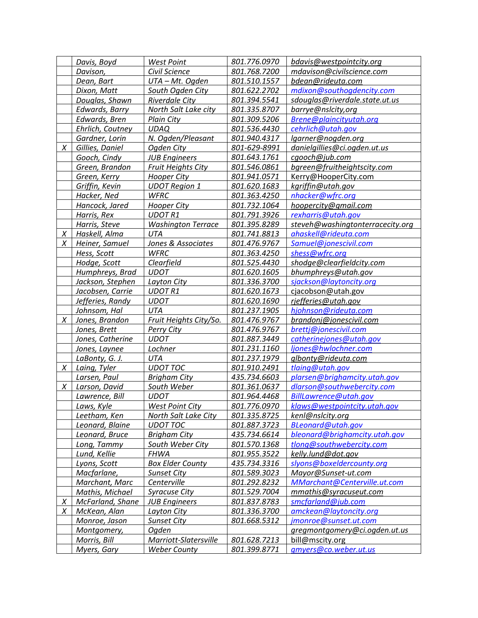|   | Davis, Boyd      | <b>West Point</b>             | 801.776.0970 | bdavis@westpointcity.org         |
|---|------------------|-------------------------------|--------------|----------------------------------|
|   | Davison,         | Civil Science                 | 801.768.7200 | mdavison@civilscience.com        |
|   | Dean, Bart       | UTA - Mt. Ogden               | 801.510.1557 | bdean@rideuta.com                |
|   | Dixon, Matt      | South Ogden City              | 801.622.2702 | mdixon@southogdencity.com        |
|   | Douglas, Shawn   | Riverdale City                | 801.394.5541 | sdouglas@riverdale.state.ut.us   |
|   | Edwards, Barry   | North Salt Lake city          | 801.335.8707 | barrye@nslcity,org               |
|   | Edwards, Bren    | <b>Plain City</b>             | 801.309.5206 | Brene@plaincityutah.org          |
|   | Ehrlich, Coutney | <b>UDAQ</b>                   | 801.536.4430 | cehrlich@utah.gov                |
|   | Gardner, Lorin   | N. Ogden/Pleasant             | 801.940.4317 | lgarner@nogden.org               |
| X | Gillies, Daniel  | Ogden City                    | 801-629-8991 | danielgillies@ci.ogden.ut.us     |
|   | Gooch, Cindy     | <b>JUB Engineers</b>          | 801.643.1761 | cgooch@jub.com                   |
|   | Green, Brandon   | <b>Fruit Heights City</b>     | 801.546.0861 | bgreen@fruitheightscity.com      |
|   | Green, Kerry     | <u>Hooper City</u>            | 801.941.0571 | Kerry@HooperCity.com             |
|   | Griffin, Kevin   | <b>UDOT Region 1</b>          | 801.620.1683 | kgriffin@utah.gov                |
|   | Hacker, Ned      | <b>WFRC</b>                   | 801.363.4250 | nhacker@wfrc.org                 |
|   | Hancock, Jared   | <b>Hooper City</b>            | 801.732.1064 | hoopercity@gmail.com             |
|   | Harris, Rex      | <b>UDOT R1</b>                | 801.791.3926 | rexharris@utah.gov               |
|   | Harris, Steve    | <b>Washington Terrace</b>     | 801.395.8289 | steveh@washingtonterracecity.org |
| X | Haskell, Alma    | <b>UTA</b>                    | 801.741.8813 | ahaskell@rideuta.com             |
| X | Heiner, Samuel   | <b>Jones &amp; Associates</b> | 801.476.9767 | Samuel@jonescivil.com            |
|   | Hess, Scott      | <b>WFRC</b>                   | 801.363.4250 | shess@wfrc.org                   |
|   | Hodge, Scott     | Clearfield                    | 801.525.4430 | shodge@clearfieldcity.com        |
|   | Humphreys, Brad  | <b>UDOT</b>                   | 801.620.1605 | bhumphreys@utah.gov              |
|   | Jackson, Stephen | Layton City                   | 801.336.3700 | sjackson@laytoncity.org          |
|   | Jacobsen, Carrie | <b>UDOT R1</b>                | 801.620.1673 | cjacobson@utah.gov               |
|   | Jefferies, Randy | <b>UDOT</b>                   | 801.620.1690 | rjefferies@utah.gov              |
|   | Johnsom, Hal     | UTA                           | 801.237.1905 | hjohnson@rideuta.com             |
| X | Jones, Brandon   | Fruit Heights City/So.        | 801.476.9767 | brandonj@jonescivil.com          |
|   | Jones, Brett     | <b>Perry City</b>             | 801.476.9767 | brettj@jonescivil.com            |
|   | Jones, Catherine | <b>UDOT</b>                   | 801.887.3449 | catherinejones@utah.gov          |
|   | Jones, Laynee    | Lochner                       | 801.231.1160 | ljones@hwlochner.com             |
|   | LaBonty, G. J.   | UTA                           | 801.237.1979 | glbonty@rideuta.com              |
| X | Laing, Tyler     | <b>UDOT TOC</b>               | 801.910.2491 | tlaing@utah.gov                  |
|   | Larsen, Paul     | <b>Brigham City</b>           | 435.734.6603 | plarsen@brighamcity.utah.gov     |
| X | Larson, David    | South Weber                   | 801.361.0637 | dlarson@southwebercity.com       |
|   | Lawrence, Bill   | <b>UDOT</b>                   | 801.964.4468 | BillLawrence@utah.gov            |
|   | Laws, Kyle       | <b>West Point City</b>        | 801.776.0970 | klaws@westpointcity.utah.gov     |
|   | Leetham, Ken     | North Salt Lake City          | 801.335.8725 | kenl@nslcity.org                 |
|   | Leonard, Blaine  | <b>UDOT TOC</b>               | 801.887.3723 | BLeonard@utah.gov                |
|   | Leonard, Bruce   | <b>Brigham City</b>           | 435.734.6614 | bleonard@brighamcity.utah.gov    |
|   | Long, Tammy      | South Weber City              | 801.570.1368 | tlong@southwebercity.com         |
|   | Lund, Kellie     | <b>FHWA</b>                   | 801.955.3522 | kelly.lund@dot.gov               |
|   | Lyons, Scott     | <b>Box Elder County</b>       | 435.734.3316 | slyons@boxeldercounty.org        |
|   | Macfarlane,      | <b>Sunset City</b>            | 801.589.3023 | Mayor@Sunset-ut.com              |
|   | Marchant, Marc   | Centerville                   | 801.292.8232 | MMarchant@Centerville.ut.com     |
|   | Mathis, Michael  | <b>Syracuse City</b>          | 801.529.7004 | mmathis@syracuseut.com           |
| X | McFarland, Shane | <b>JUB Engineers</b>          | 801.837.8783 | smcfarland@jub.com               |
| X | McKean, Alan     | Layton City                   | 801.336.3700 | amckean@laytoncity.org           |
|   | Monroe, Jason    | <b>Sunset City</b>            | 801.668.5312 | jmonroe@sunset.ut.com            |
|   | Montgomery,      | Ogden                         |              | gregmontgomery@ci.ogden.ut.us    |
|   | Morris, Bill     | Marriott-Slatersville         | 801.628.7213 | bill@mscity.org                  |
|   | Myers, Gary      | <b>Weber County</b>           | 801.399.8771 | gmyers@co.weber.ut.us            |
|   |                  |                               |              |                                  |